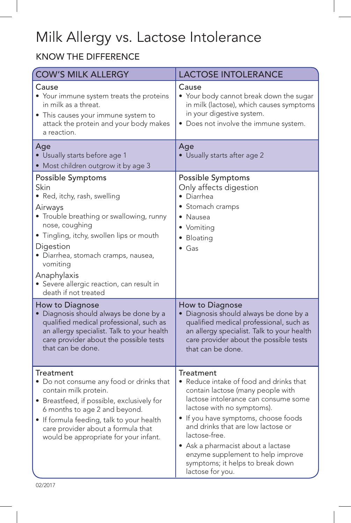# Milk Allergy vs. Lactose Intolerance

## know the difference

| <b>COW'S MILK ALLERGY</b>                                                                                                                                                                                                                                                                                                          | <b>LACTOSE INTOLERANCE</b>                                                                                                                                                                                                                                                                                                                                                                               |
|------------------------------------------------------------------------------------------------------------------------------------------------------------------------------------------------------------------------------------------------------------------------------------------------------------------------------------|----------------------------------------------------------------------------------------------------------------------------------------------------------------------------------------------------------------------------------------------------------------------------------------------------------------------------------------------------------------------------------------------------------|
| Cause<br>• Your immune system treats the proteins<br>in milk as a threat.<br>• This causes your immune system to<br>attack the protein and your body makes<br>a reaction.                                                                                                                                                          | Cause<br>• Your body cannot break down the sugar<br>in milk (lactose), which causes symptoms<br>in your digestive system.<br>• Does not involve the immune system.                                                                                                                                                                                                                                       |
| Age<br>• Usually starts before age 1<br>• Most children outgrow it by age 3                                                                                                                                                                                                                                                        | Age<br>• Usually starts after age 2                                                                                                                                                                                                                                                                                                                                                                      |
| Possible Symptoms<br>Skin<br>• Red, itchy, rash, swelling<br>Airways<br>• Trouble breathing or swallowing, runny<br>nose, coughing<br>• Tingling, itchy, swollen lips or mouth<br>Digestion<br>· Diarrhea, stomach cramps, nausea,<br>vomiting<br>Anaphylaxis<br>· Severe allergic reaction, can result in<br>death if not treated | Possible Symptoms<br>Only affects digestion<br>• Diarrhea<br>• Stomach cramps<br>• Nausea<br>• Vomiting<br>• Bloating<br>$\bullet$ Gas                                                                                                                                                                                                                                                                   |
| How to Diagnose<br>· Diagnosis should always be done by a<br>qualified medical professional, such as<br>an allergy specialist. Talk to your health<br>care provider about the possible tests<br>that can be done.                                                                                                                  | How to Diagnose<br>· Diagnosis should always be done by a<br>qualified medical professional, such as<br>an allergy specialist. Talk to your health<br>care provider about the possible tests<br>that can be done.                                                                                                                                                                                        |
| Treatment<br>• Do not consume any food or drinks that<br>contain milk protein.<br>• Breastfeed, if possible, exclusively for<br>6 months to age 2 and beyond.<br>• If formula feeding, talk to your health<br>care provider about a formula that<br>would be appropriate for your infant.                                          | <b>Treatment</b><br>• Reduce intake of food and drinks that<br>contain lactose (many people with<br>lactose intolerance can consume some<br>lactose with no symptoms).<br>• If you have symptoms, choose foods<br>and drinks that are low lactose or<br>lactose-free.<br>• Ask a pharmacist about a lactase<br>enzyme supplement to help improve<br>symptoms; it helps to break down<br>lactose for you. |